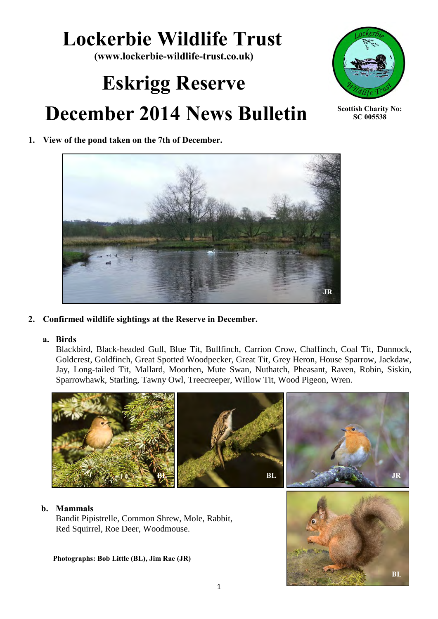# **Lockerbie Wildlife Trust**

**(www.lockerbie-wildlife-trust.co.uk)** 

# **Eskrigg Reserve December 2014 News Bulletin**



**Scottish Charity No: SC 005538**

# **1. View of the pond taken on the 7th of December.**



**2. Confirmed wildlife sightings at the Reserve in December.**

#### **a. Birds**

Blackbird, Black-headed Gull, Blue Tit, Bullfinch, Carrion Crow, Chaffinch, Coal Tit, Dunnock, Goldcrest, Goldfinch, Great Spotted Woodpecker, Great Tit, Grey Heron, House Sparrow, Jackdaw, Jay, Long-tailed Tit, Mallard, Moorhen, Mute Swan, Nuthatch, Pheasant, Raven, Robin, Siskin, Sparrowhawk, Starling, Tawny Owl, Treecreeper, Willow Tit, Wood Pigeon, Wren.



#### **b. Mammals**

Bandit Pipistrelle, Common Shrew, Mole, Rabbit, Red Squirrel, Roe Deer, Woodmouse.

#### **Photographs: Bob Little (BL), Jim Rae (JR)**

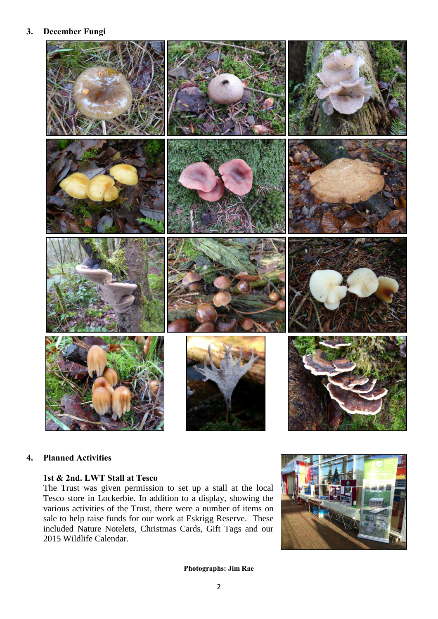#### **3. December Fungi**



## **4. Planned Activities**

#### **1st & 2nd. LWT Stall at Tesco**

The Trust was given permission to set up a stall at the local Tesco store in Lockerbie. In addition to a display, showing the various activities of the Trust, there were a number of items on sale to help raise funds for our work at Eskrigg Reserve. These included Nature Notelets, Christmas Cards, Gift Tags and our 2015 Wildlife Calendar.



**Photographs: Jim Rae**